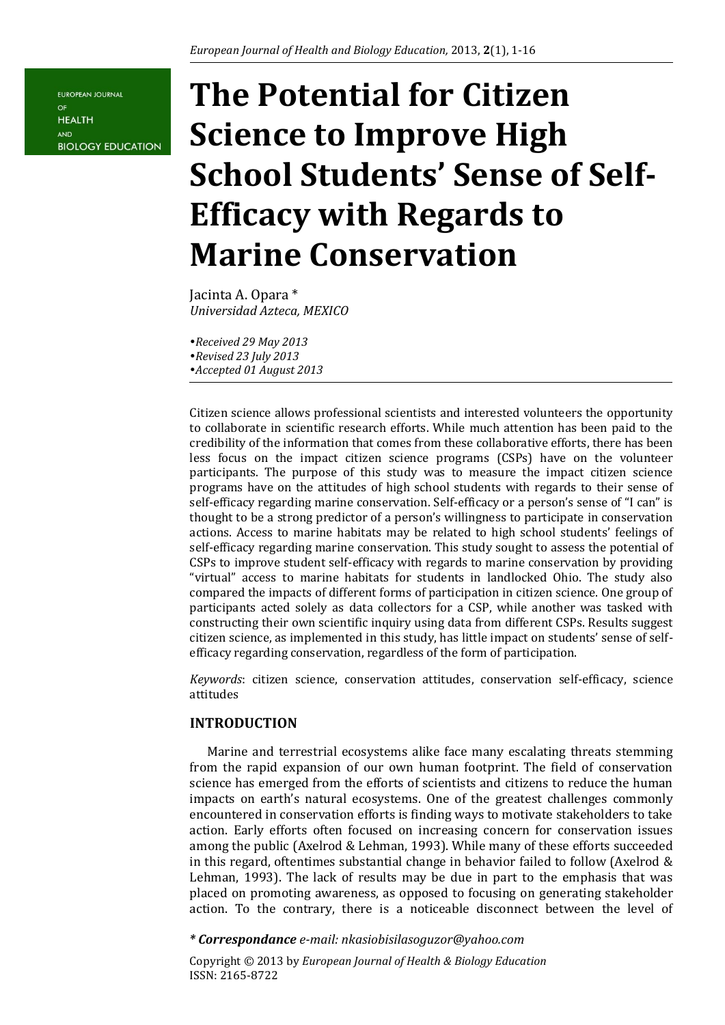**EUROPEAN JOURNAL**  $\Omega$ <sub>F</sub> **HEALTH** AND **BIOLOGY EDUCATION** 

# **The Potential for Citizen Science to Improve High School Students' Sense of Self-Efficacy with Regards to Marine Conservation**

Jacinta A. Opara \* *Universidad Azteca, MEXICO* 

*Received 29 May 2013 Revised 23 July 2013 Accepted 01 August 2013* 

Citizen science allows professional scientists and interested volunteers the opportunity to collaborate in scientific research efforts. While much attention has been paid to the credibility of the information that comes from these collaborative efforts, there has been less focus on the impact citizen science programs (CSPs) have on the volunteer participants. The purpose of this study was to measure the impact citizen science programs have on the attitudes of high school students with regards to their sense of self-efficacy regarding marine conservation. Self-efficacy or a person's sense of "I can" is thought to be a strong predictor of a person's willingness to participate in conservation actions. Access to marine habitats may be related to high school students' feelings of self-efficacy regarding marine conservation. This study sought to assess the potential of CSPs to improve student self-efficacy with regards to marine conservation by providing "virtual" access to marine habitats for students in landlocked Ohio. The study also compared the impacts of different forms of participation in citizen science. One group of participants acted solely as data collectors for a CSP, while another was tasked with constructing their own scientific inquiry using data from different CSPs. Results suggest citizen science, as implemented in this study, has little impact on students' sense of selfefficacy regarding conservation, regardless of the form of participation.

*Keywords*: citizen science, conservation attitudes, conservation self-efficacy, science attitudes

#### **INTRODUCTION**

Marine and terrestrial ecosystems alike face many escalating threats stemming from the rapid expansion of our own human footprint. The field of conservation science has emerged from the efforts of scientists and citizens to reduce the human impacts on earth's natural ecosystems. One of the greatest challenges commonly encountered in conservation efforts is finding ways to motivate stakeholders to take action. Early efforts often focused on increasing concern for conservation issues among the public (Axelrod & Lehman, 1993). While many of these efforts succeeded in this regard, oftentimes substantial change in behavior failed to follow (Axelrod & Lehman, 1993). The lack of results may be due in part to the emphasis that was placed on promoting awareness, as opposed to focusing on generating stakeholder action. To the contrary, there is a noticeable disconnect between the level of

*\* Correspondance e-mail: nkasiobisilasoguzor@yahoo.com*

Copyright © 2013 by *European Journal of Health & Biology Education* ISSN: 2165-8722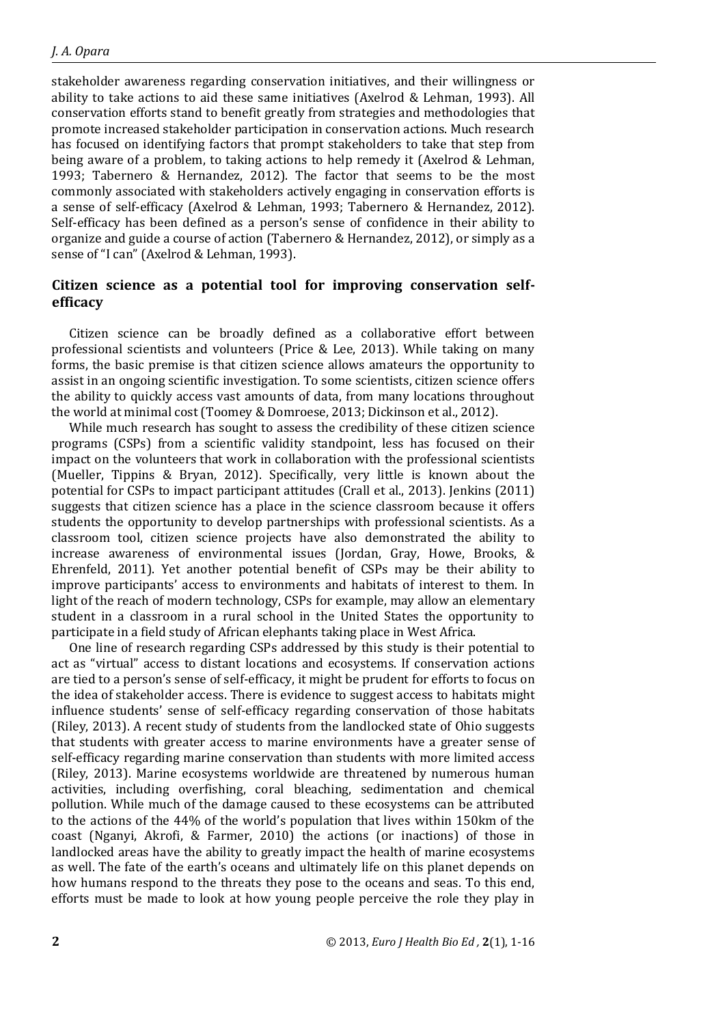stakeholder awareness regarding conservation initiatives, and their willingness or ability to take actions to aid these same initiatives (Axelrod & Lehman, 1993). All conservation efforts stand to benefit greatly from strategies and methodologies that promote increased stakeholder participation in conservation actions. Much research has focused on identifying factors that prompt stakeholders to take that step from being aware of a problem, to taking actions to help remedy it (Axelrod & Lehman, 1993; Tabernero & Hernandez, 2012). The factor that seems to be the most commonly associated with stakeholders actively engaging in conservation efforts is a sense of self-efficacy (Axelrod & Lehman, 1993; Tabernero & Hernandez, 2012). Self-efficacy has been defined as a person's sense of confidence in their ability to organize and guide a course of action (Tabernero & Hernandez, 2012), or simply as a sense of "I can" (Axelrod & Lehman, 1993).

## **Citizen science as a potential tool for improving conservation selfefficacy**

Citizen science can be broadly defined as a collaborative effort between professional scientists and volunteers (Price & Lee, 2013). While taking on many forms, the basic premise is that citizen science allows amateurs the opportunity to assist in an ongoing scientific investigation. To some scientists, citizen science offers the ability to quickly access vast amounts of data, from many locations throughout the world at minimal cost (Toomey & Domroese, 2013; Dickinson et al., 2012).

While much research has sought to assess the credibility of these citizen science programs (CSPs) from a scientific validity standpoint, less has focused on their impact on the volunteers that work in collaboration with the professional scientists (Mueller, Tippins & Bryan, 2012). Specifically, very little is known about the potential for CSPs to impact participant attitudes (Crall et al., 2013). Jenkins (2011) suggests that citizen science has a place in the science classroom because it offers students the opportunity to develop partnerships with professional scientists. As a classroom tool, citizen science projects have also demonstrated the ability to increase awareness of environmental issues (Jordan, Gray, Howe, Brooks, & Ehrenfeld, 2011). Yet another potential benefit of CSPs may be their ability to improve participants' access to environments and habitats of interest to them. In light of the reach of modern technology, CSPs for example, may allow an elementary student in a classroom in a rural school in the United States the opportunity to participate in a field study of African elephants taking place in West Africa.

One line of research regarding CSPs addressed by this study is their potential to act as "virtual" access to distant locations and ecosystems. If conservation actions are tied to a person's sense of self-efficacy, it might be prudent for efforts to focus on the idea of stakeholder access. There is evidence to suggest access to habitats might influence students' sense of self-efficacy regarding conservation of those habitats (Riley, 2013). A recent study of students from the landlocked state of Ohio suggests that students with greater access to marine environments have a greater sense of self-efficacy regarding marine conservation than students with more limited access (Riley, 2013). Marine ecosystems worldwide are threatened by numerous human activities, including overfishing, coral bleaching, sedimentation and chemical pollution. While much of the damage caused to these ecosystems can be attributed to the actions of the 44% of the world's population that lives within 150km of the coast (Nganyi, Akrofi, & Farmer, 2010) the actions (or inactions) of those in landlocked areas have the ability to greatly impact the health of marine ecosystems as well. The fate of the earth's oceans and ultimately life on this planet depends on how humans respond to the threats they pose to the oceans and seas. To this end, efforts must be made to look at how young people perceive the role they play in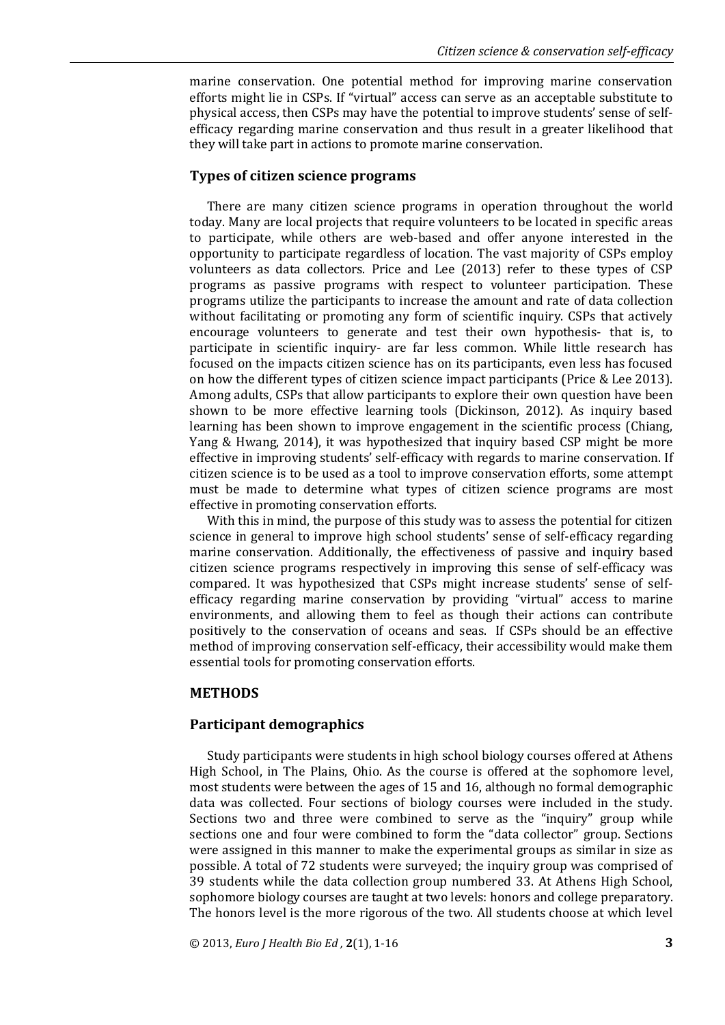marine conservation. One potential method for improving marine conservation efforts might lie in CSPs. If "virtual" access can serve as an acceptable substitute to physical access, then CSPs may have the potential to improve students' sense of selfefficacy regarding marine conservation and thus result in a greater likelihood that they will take part in actions to promote marine conservation.

#### **Types of citizen science programs**

There are many citizen science programs in operation throughout the world today. Many are local projects that require volunteers to be located in specific areas to participate, while others are web-based and offer anyone interested in the opportunity to participate regardless of location. The vast majority of CSPs employ volunteers as data collectors. Price and Lee (2013) refer to these types of CSP programs as passive programs with respect to volunteer participation. These programs utilize the participants to increase the amount and rate of data collection without facilitating or promoting any form of scientific inquiry. CSPs that actively encourage volunteers to generate and test their own hypothesis- that is, to participate in scientific inquiry- are far less common. While little research has focused on the impacts citizen science has on its participants, even less has focused on how the different types of citizen science impact participants (Price & Lee 2013). Among adults, CSPs that allow participants to explore their own question have been shown to be more effective learning tools (Dickinson, 2012). As inquiry based learning has been shown to improve engagement in the scientific process (Chiang, Yang & Hwang, 2014), it was hypothesized that inquiry based CSP might be more effective in improving students' self-efficacy with regards to marine conservation. If citizen science is to be used as a tool to improve conservation efforts, some attempt must be made to determine what types of citizen science programs are most effective in promoting conservation efforts.

With this in mind, the purpose of this study was to assess the potential for citizen science in general to improve high school students' sense of self-efficacy regarding marine conservation. Additionally, the effectiveness of passive and inquiry based citizen science programs respectively in improving this sense of self-efficacy was compared. It was hypothesized that CSPs might increase students' sense of selfefficacy regarding marine conservation by providing "virtual" access to marine environments, and allowing them to feel as though their actions can contribute positively to the conservation of oceans and seas. If CSPs should be an effective method of improving conservation self-efficacy, their accessibility would make them essential tools for promoting conservation efforts.

#### **METHODS**

#### **Participant demographics**

Study participants were students in high school biology courses offered at Athens High School, in The Plains, Ohio. As the course is offered at the sophomore level, most students were between the ages of 15 and 16, although no formal demographic data was collected. Four sections of biology courses were included in the study. Sections two and three were combined to serve as the "inquiry" group while sections one and four were combined to form the "data collector" group. Sections were assigned in this manner to make the experimental groups as similar in size as possible. A total of 72 students were surveyed; the inquiry group was comprised of 39 students while the data collection group numbered 33. At Athens High School, sophomore biology courses are taught at two levels: honors and college preparatory. The honors level is the more rigorous of the two. All students choose at which level

© 2013, *Euro J Health Bio Ed ,* **2**(1), 1-16 **3**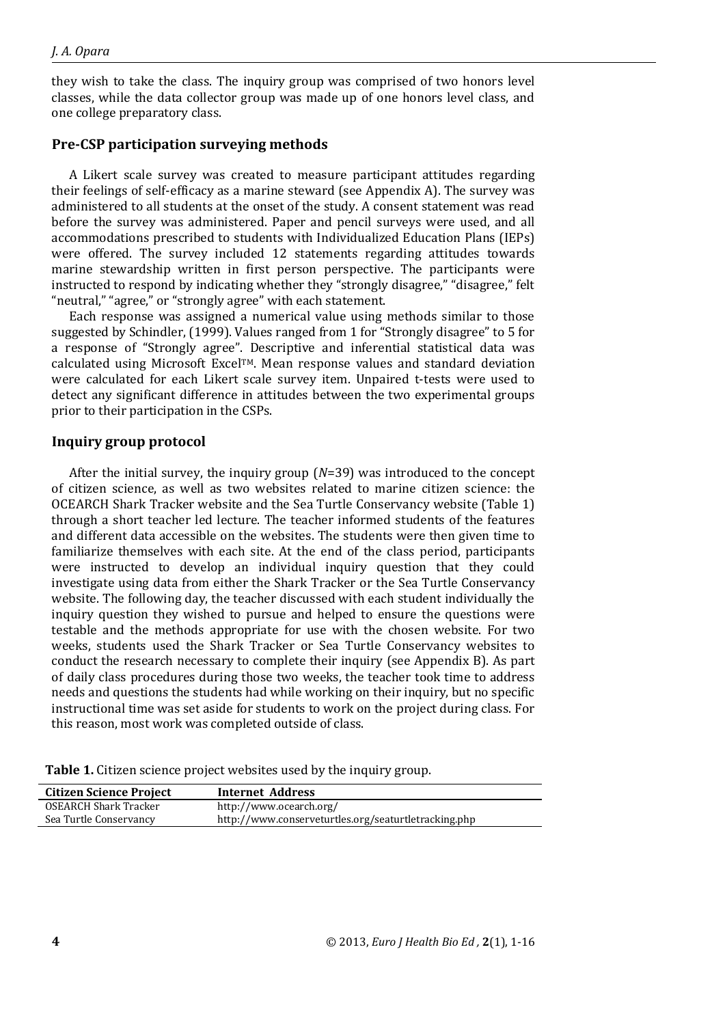they wish to take the class. The inquiry group was comprised of two honors level classes, while the data collector group was made up of one honors level class, and one college preparatory class.

#### **Pre-CSP participation surveying methods**

A Likert scale survey was created to measure participant attitudes regarding their feelings of self-efficacy as a marine steward (see Appendix A). The survey was administered to all students at the onset of the study. A consent statement was read before the survey was administered. Paper and pencil surveys were used, and all accommodations prescribed to students with Individualized Education Plans (IEPs) were offered. The survey included 12 statements regarding attitudes towards marine stewardship written in first person perspective. The participants were instructed to respond by indicating whether they "strongly disagree," "disagree," felt "neutral," "agree," or "strongly agree" with each statement.

Each response was assigned a numerical value using methods similar to those suggested by Schindler, (1999). Values ranged from 1 for "Strongly disagree" to 5 for a response of "Strongly agree". Descriptive and inferential statistical data was calculated using Microsoft ExcelTM. Mean response values and standard deviation were calculated for each Likert scale survey item. Unpaired t-tests were used to detect any significant difference in attitudes between the two experimental groups prior to their participation in the CSPs.

#### **Inquiry group protocol**

After the initial survey, the inquiry group (*N*=39) was introduced to the concept of citizen science, as well as two websites related to marine citizen science: the OCEARCH Shark Tracker website and the Sea Turtle Conservancy website (Table 1) through a short teacher led lecture. The teacher informed students of the features and different data accessible on the websites. The students were then given time to familiarize themselves with each site. At the end of the class period, participants were instructed to develop an individual inquiry question that they could investigate using data from either the Shark Tracker or the Sea Turtle Conservancy website. The following day, the teacher discussed with each student individually the inquiry question they wished to pursue and helped to ensure the questions were testable and the methods appropriate for use with the chosen website. For two weeks, students used the Shark Tracker or Sea Turtle Conservancy websites to conduct the research necessary to complete their inquiry (see Appendix B). As part of daily class procedures during those two weeks, the teacher took time to address needs and questions the students had while working on their inquiry, but no specific instructional time was set aside for students to work on the project during class. For this reason, most work was completed outside of class.

|  |  |  | Table 1. Citizen science project websites used by the inquiry group. |
|--|--|--|----------------------------------------------------------------------|
|--|--|--|----------------------------------------------------------------------|

| <b>Citizen Science Project</b> | Internet Address                                     |
|--------------------------------|------------------------------------------------------|
| OSEARCH Shark Tracker          | http://www.ocearch.org/                              |
| Sea Turtle Conservancy         | http://www.conserveturtles.org/seaturtletracking.php |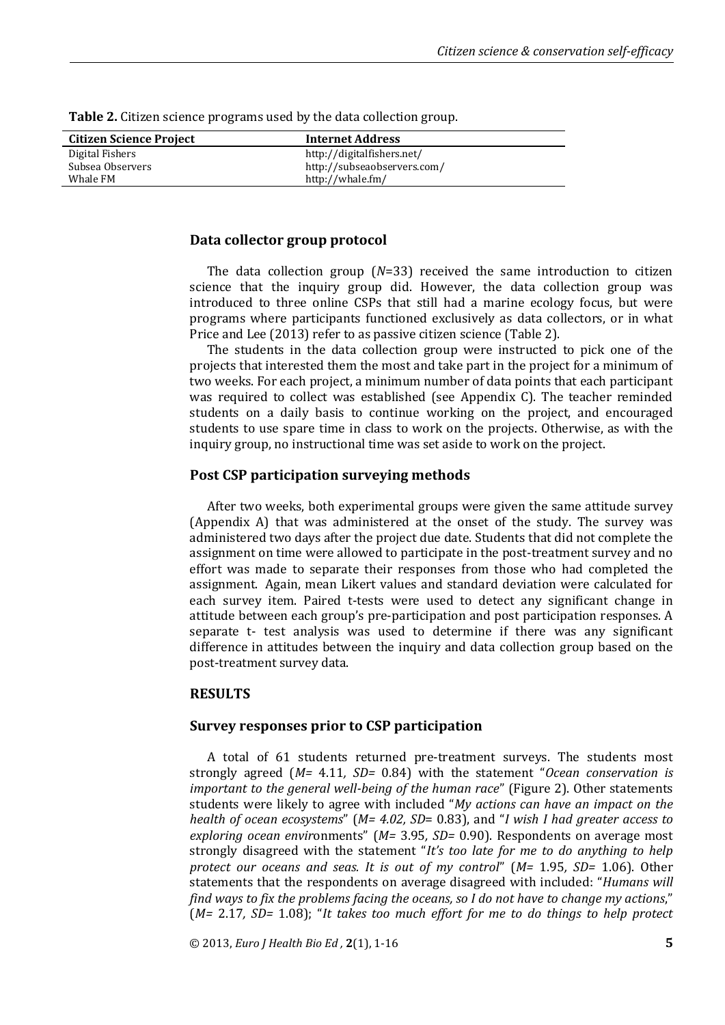| <b>Citizen Science Project</b> | <b>Internet Address</b>     |  |
|--------------------------------|-----------------------------|--|
| Digital Fishers                | http://digitalfishers.net/  |  |
| Subsea Observers               | http://subseaobservers.com/ |  |
| Whale FM                       | http://whale.fm/            |  |

**Table 2.** Citizen science programs used by the data collection group.

#### **Data collector group protocol**

The data collection group (*N*=33) received the same introduction to citizen science that the inquiry group did. However, the data collection group was introduced to three online CSPs that still had a marine ecology focus, but were programs where participants functioned exclusively as data collectors, or in what Price and Lee (2013) refer to as passive citizen science (Table 2).

The students in the data collection group were instructed to pick one of the projects that interested them the most and take part in the project for a minimum of two weeks. For each project, a minimum number of data points that each participant was required to collect was established (see Appendix C). The teacher reminded students on a daily basis to continue working on the project, and encouraged students to use spare time in class to work on the projects. Otherwise, as with the inquiry group, no instructional time was set aside to work on the project.

## **Post CSP participation surveying methods**

After two weeks, both experimental groups were given the same attitude survey (Appendix A) that was administered at the onset of the study. The survey was administered two days after the project due date. Students that did not complete the assignment on time were allowed to participate in the post-treatment survey and no effort was made to separate their responses from those who had completed the assignment. Again, mean Likert values and standard deviation were calculated for each survey item. Paired t-tests were used to detect any significant change in attitude between each group's pre-participation and post participation responses. A separate t- test analysis was used to determine if there was any significant difference in attitudes between the inquiry and data collection group based on the post-treatment survey data.

## **RESULTS**

#### **Survey responses prior to CSP participation**

A total of 61 students returned pre-treatment surveys. The students most strongly agreed (*M=* 4.11*, SD=* 0.84) with the statement "*Ocean conservation is important to the general well-being of the human race*" (Figure 2). Other statements students were likely to agree with included "*My actions can have an impact on the health of ocean ecosystems*" (*M= 4.02, SD*= 0.83), and "*I wish I had greater access to exploring ocean envir*onments" (*M=* 3.95*, SD=* 0.90). Respondents on average most strongly disagreed with the statement "*It's too late for me to do anything to help protect our oceans and seas. It is out of my control*" (*M=* 1.95*, SD=* 1.06). Other statements that the respondents on average disagreed with included: "*Humans will find ways to fix the problems facing the oceans, so I do not have to change my actions*," (*M=* 2.17*, SD=* 1.08); "*It takes too much effort for me to do things to help protect* 

© 2013, *Euro J Health Bio Ed ,* **2**(1), 1-16 **5**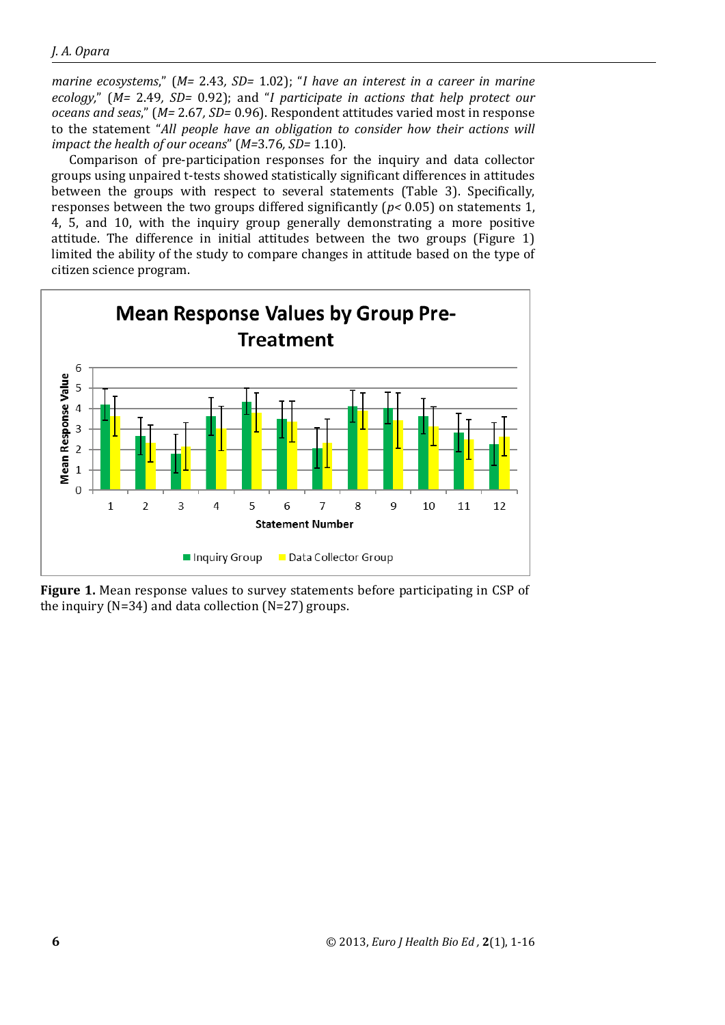*marine ecosystems*," (*M=* 2.43*, SD=* 1.02); "*I have an interest in a career in marine ecology,*" (*M=* 2.49*, SD=* 0.92); and "*I participate in actions that help protect our oceans and seas*," (*M=* 2.67*, SD=* 0.96). Respondent attitudes varied most in response to the statement "*All people have an obligation to consider how their actions will impact the health of our oceans*" (*M=*3.76*, SD=* 1.10).

Comparison of pre-participation responses for the inquiry and data collector groups using unpaired t-tests showed statistically significant differences in attitudes between the groups with respect to several statements (Table 3). Specifically, responses between the two groups differed significantly (*p<* 0.05) on statements 1, 4, 5, and 10, with the inquiry group generally demonstrating a more positive attitude. The difference in initial attitudes between the two groups (Figure 1) limited the ability of the study to compare changes in attitude based on the type of citizen science program.



**Figure 1.** Mean response values to survey statements before participating in CSP of the inquiry ( $N=34$ ) and data collection ( $N=27$ ) groups.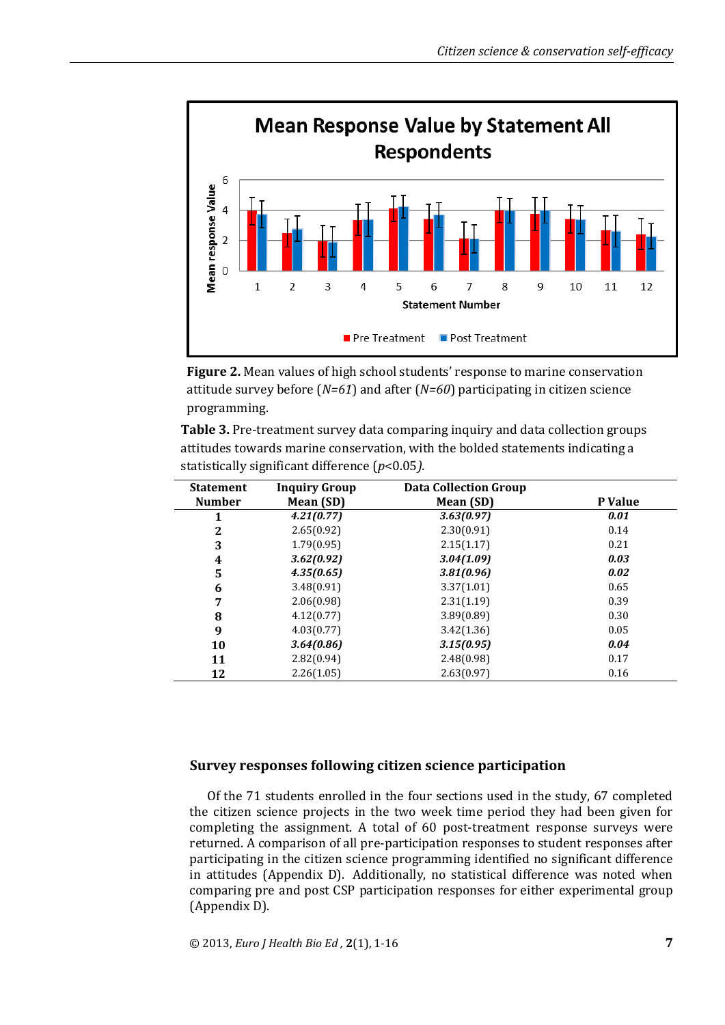

**Figure 2.** Mean values of high school students' response to marine conservation attitude survey before (*N=61*) and after (*N=60*) participating in citizen science programming.

**Table 3.** Pre-treatment survey data comparing inquiry and data collection groups attitudes towards marine conservation, with the bolded statements indicating a statistically significant difference (*p*<0.05*).*

| <b>Statement</b> | <b>Inquiry Group</b> | <b>Data Collection Group</b> |         |
|------------------|----------------------|------------------------------|---------|
| <b>Number</b>    | Mean (SD)            | Mean (SD)                    | P Value |
| 1                | 4.21(0.77)           | 3.63(0.97)                   | 0.01    |
| $\mathbf{2}$     | 2.65(0.92)           | 2.30(0.91)                   | 0.14    |
| 3                | 1.79(0.95)           | 2.15(1.17)                   | 0.21    |
| 4                | 3.62(0.92)           | 3.04(1.09)                   | 0.03    |
| 5                | 4.35(0.65)           | 3.81(0.96)                   | 0.02    |
| 6                | 3.48(0.91)           | 3.37(1.01)                   | 0.65    |
| 7                | 2.06(0.98)           | 2.31(1.19)                   | 0.39    |
| 8                | 4.12(0.77)           | 3.89(0.89)                   | 0.30    |
| 9                | 4.03(0.77)           | 3.42(1.36)                   | 0.05    |
| 10               | 3.64(0.86)           | 3.15(0.95)                   | 0.04    |
| 11               | 2.82(0.94)           | 2.48(0.98)                   | 0.17    |
| 12               | 2.26(1.05)           | 2.63(0.97)                   | 0.16    |
|                  |                      |                              |         |

## **Survey responses following citizen science participation**

Of the 71 students enrolled in the four sections used in the study, 67 completed the citizen science projects in the two week time period they had been given for completing the assignment. A total of 60 post-treatment response surveys were returned. A comparison of all pre-participation responses to student responses after participating in the citizen science programming identified no significant difference in attitudes (Appendix D). Additionally, no statistical difference was noted when comparing pre and post CSP participation responses for either experimental group (Appendix D).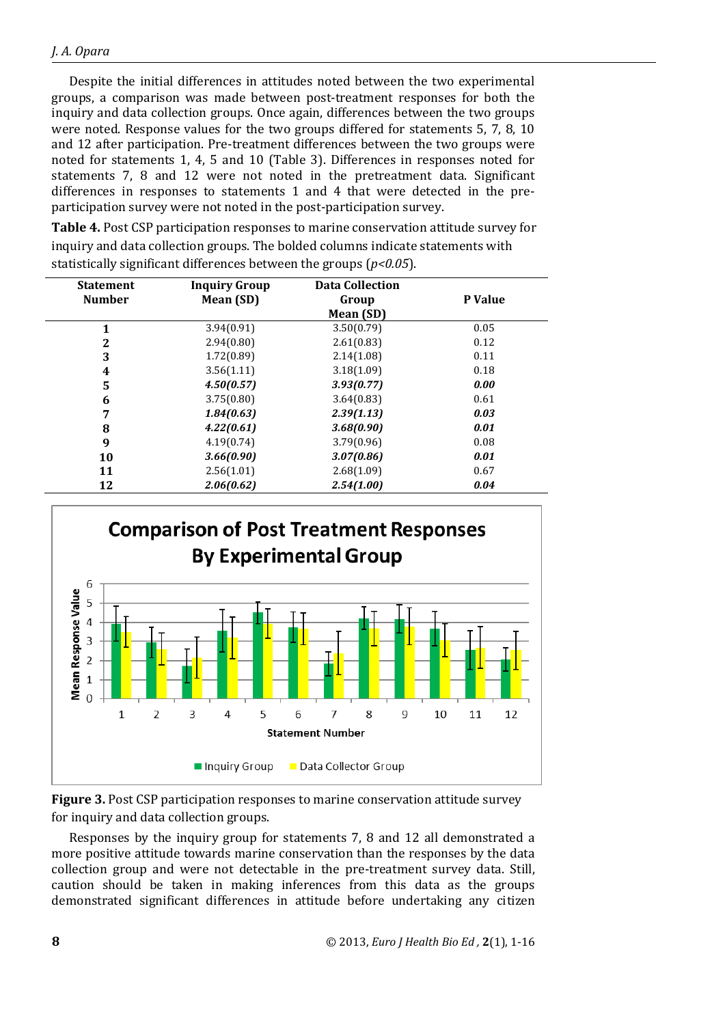Despite the initial differences in attitudes noted between the two experimental groups, a comparison was made between post-treatment responses for both the inquiry and data collection groups. Once again, differences between the two groups were noted. Response values for the two groups differed for statements 5, 7, 8, 10 and 12 after participation. Pre-treatment differences between the two groups were noted for statements 1, 4, 5 and 10 (Table 3). Differences in responses noted for statements 7, 8 and 12 were not noted in the pretreatment data. Significant differences in responses to statements 1 and 4 that were detected in the preparticipation survey were not noted in the post-participation survey.

**Table 4.** Post CSP participation responses to marine conservation attitude survey for inquiry and data collection groups. The bolded columns indicate statements with statistically significant differences between the groups (*p<0.05*).

| <b>Statement</b> | <b>Inquiry Group</b> | <b>Data Collection</b> |         |
|------------------|----------------------|------------------------|---------|
| <b>Number</b>    | Mean (SD)            | Group                  | P Value |
|                  |                      | Mean (SD)              |         |
| 1                | 3.94(0.91)           | 3.50(0.79)             | 0.05    |
| 2                | 2.94(0.80)           | 2.61(0.83)             | 0.12    |
| 3                | 1.72(0.89)           | 2.14(1.08)             | 0.11    |
| 4                | 3.56(1.11)           | 3.18(1.09)             | 0.18    |
| 5                | 4.50(0.57)           | 3.93(0.77)             | 0.00    |
| 6                | 3.75(0.80)           | 3.64(0.83)             | 0.61    |
| 7                | 1.84(0.63)           | 2.39(1.13)             | 0.03    |
| 8                | 4.22(0.61)           | 3.68(0.90)             | 0.01    |
| 9                | 4.19(0.74)           | 3.79(0.96)             | 0.08    |
| 10               | 3.66(0.90)           | 3.07(0.86)             | 0.01    |
| 11               | 2.56(1.01)           | 2.68(1.09)             | 0.67    |
| 12               | 2.06(0.62)           | 2.54(1.00)             | 0.04    |



**Figure 3.** Post CSP participation responses to marine conservation attitude survey for inquiry and data collection groups.

Responses by the inquiry group for statements 7, 8 and 12 all demonstrated a more positive attitude towards marine conservation than the responses by the data collection group and were not detectable in the pre-treatment survey data. Still, caution should be taken in making inferences from this data as the groups demonstrated significant differences in attitude before undertaking any citizen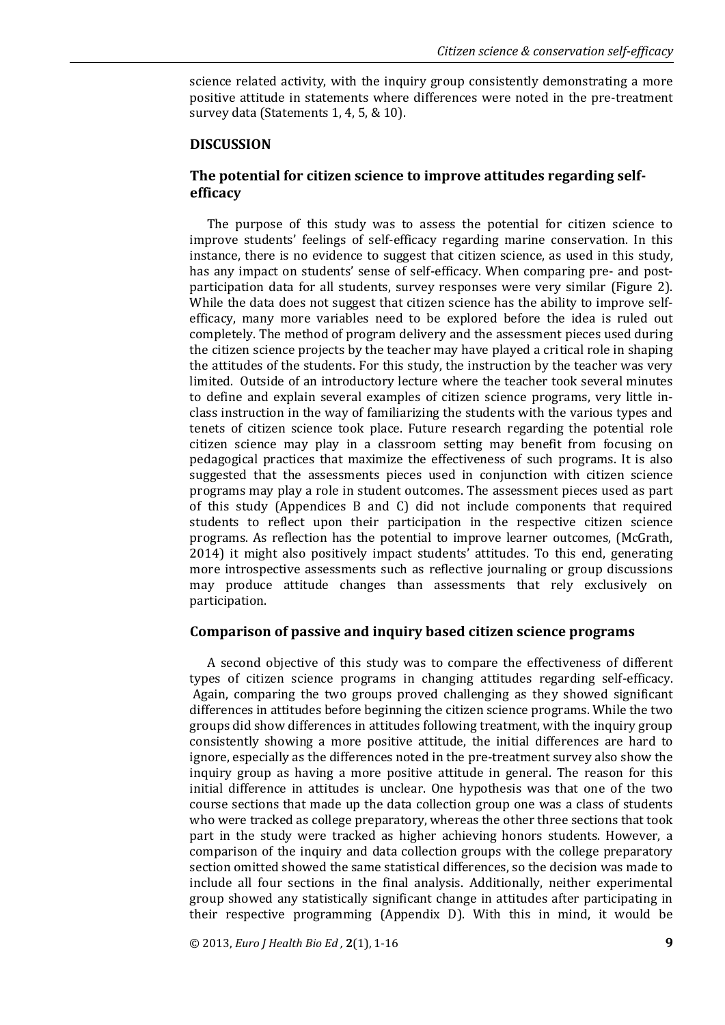science related activity, with the inquiry group consistently demonstrating a more positive attitude in statements where differences were noted in the pre-treatment survey data (Statements 1, 4, 5, & 10).

#### **DISCUSSION**

## **The potential for citizen science to improve attitudes regarding selfefficacy**

The purpose of this study was to assess the potential for citizen science to improve students' feelings of self-efficacy regarding marine conservation. In this instance, there is no evidence to suggest that citizen science, as used in this study, has any impact on students' sense of self-efficacy. When comparing pre- and postparticipation data for all students, survey responses were very similar (Figure 2). While the data does not suggest that citizen science has the ability to improve selfefficacy, many more variables need to be explored before the idea is ruled out completely. The method of program delivery and the assessment pieces used during the citizen science projects by the teacher may have played a critical role in shaping the attitudes of the students. For this study, the instruction by the teacher was very limited. Outside of an introductory lecture where the teacher took several minutes to define and explain several examples of citizen science programs, very little inclass instruction in the way of familiarizing the students with the various types and tenets of citizen science took place. Future research regarding the potential role citizen science may play in a classroom setting may benefit from focusing on pedagogical practices that maximize the effectiveness of such programs. It is also suggested that the assessments pieces used in conjunction with citizen science programs may play a role in student outcomes. The assessment pieces used as part of this study (Appendices B and C) did not include components that required students to reflect upon their participation in the respective citizen science programs. As reflection has the potential to improve learner outcomes, (McGrath, 2014) it might also positively impact students' attitudes. To this end, generating more introspective assessments such as reflective journaling or group discussions may produce attitude changes than assessments that rely exclusively on participation.

## **Comparison of passive and inquiry based citizen science programs**

A second objective of this study was to compare the effectiveness of different types of citizen science programs in changing attitudes regarding self-efficacy. Again, comparing the two groups proved challenging as they showed significant differences in attitudes before beginning the citizen science programs. While the two groups did show differences in attitudes following treatment, with the inquiry group consistently showing a more positive attitude, the initial differences are hard to ignore, especially as the differences noted in the pre-treatment survey also show the inquiry group as having a more positive attitude in general. The reason for this initial difference in attitudes is unclear. One hypothesis was that one of the two course sections that made up the data collection group one was a class of students who were tracked as college preparatory, whereas the other three sections that took part in the study were tracked as higher achieving honors students. However, a comparison of the inquiry and data collection groups with the college preparatory section omitted showed the same statistical differences, so the decision was made to include all four sections in the final analysis. Additionally, neither experimental group showed any statistically significant change in attitudes after participating in their respective programming (Appendix D). With this in mind, it would be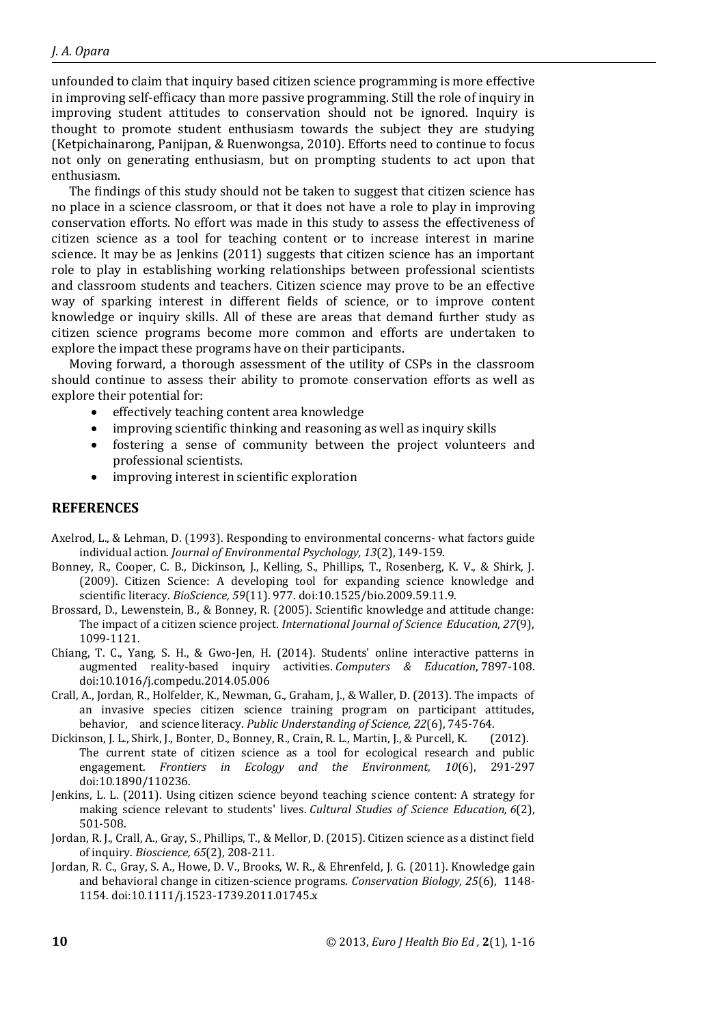unfounded to claim that inquiry based citizen science programming is more effective in improving self-efficacy than more passive programming. Still the role of inquiry in improving student attitudes to conservation should not be ignored. Inquiry is thought to promote student enthusiasm towards the subject they are studying (Ketpichainarong, Panijpan, & Ruenwongsa, 2010). Efforts need to continue to focus not only on generating enthusiasm, but on prompting students to act upon that enthusiasm.

The findings of this study should not be taken to suggest that citizen science has no place in a science classroom, or that it does not have a role to play in improving conservation efforts. No effort was made in this study to assess the effectiveness of citizen science as a tool for teaching content or to increase interest in marine science. It may be as Jenkins (2011) suggests that citizen science has an important role to play in establishing working relationships between professional scientists and classroom students and teachers. Citizen science may prove to be an effective way of sparking interest in different fields of science, or to improve content knowledge or inquiry skills. All of these are areas that demand further study as citizen science programs become more common and efforts are undertaken to explore the impact these programs have on their participants.

Moving forward, a thorough assessment of the utility of CSPs in the classroom should continue to assess their ability to promote conservation efforts as well as explore their potential for:

- effectively teaching content area knowledge
- improving scientific thinking and reasoning as well as inquiry skills
- fostering a sense of community between the project volunteers and professional scientists.
- improving interest in scientific exploration

#### **REFERENCES**

- Axelrod, L., & Lehman, D. (1993). Responding to environmental concerns- what factors guide individual action. *Journal of Environmental Psychology, 13*(2), 149-159.
- Bonney, R., Cooper, C. B., Dickinson, J., Kelling, S., Phillips, T., Rosenberg, K. V., & Shirk, J. (2009). Citizen Science: A developing tool for expanding science knowledge and scientific literacy. *BioScience, 59*(11). 977. doi:10.1525/bio.2009.59.11.9.
- Brossard, D., Lewenstein, B., & Bonney, R. (2005). Scientific knowledge and attitude change: The impact of a citizen science project. *International Journal of Science Education*, *27*(9), 1099-1121.
- Chiang, T. C., Yang, S. H., & Gwo-Jen, H. (2014). Students' online interactive patterns in augmented reality-based inquiry activities. *Computers & Education*, 7897-108. doi:10.1016/j.compedu.2014.05.006
- Crall, A., Jordan, R., Holfelder, K., Newman, G., Graham, J., & Waller, D. (2013). The impacts of an invasive species citizen science training program on participant attitudes, behavior, and science literacy. *Public Understanding of Science, 22*(6), 745-764.
- Dickinson, J. L., Shirk, J., Bonter, D., Bonney, R., Crain, R. L., Martin, J., & Purcell, K. (2012). The current state of citizen science as a tool for ecological research and public engagement. *Frontiers in Ecology and the Environment, 10*(6), 291-297 doi:10.1890/110236.
- Jenkins, L. L. (2011). Using citizen science beyond teaching science content: A strategy for making science relevant to students' lives. *Cultural Studies of Science Education, 6*(2), 501-508.
- Jordan, R. J., Crall, A., Gray, S., Phillips, T., & Mellor, D. (2015). Citizen science as a distinct field of inquiry. *Bioscience, 65*(2), 208-211.
- Jordan, R. C., Gray, S. A., Howe, D. V., Brooks, W. R., & Ehrenfeld, J. G. (2011). Knowledge gain and behavioral change in citizen-science programs. *Conservation Biology, 25*(6), 1148- 1154. doi:10.1111/j.1523-1739.2011.01745.x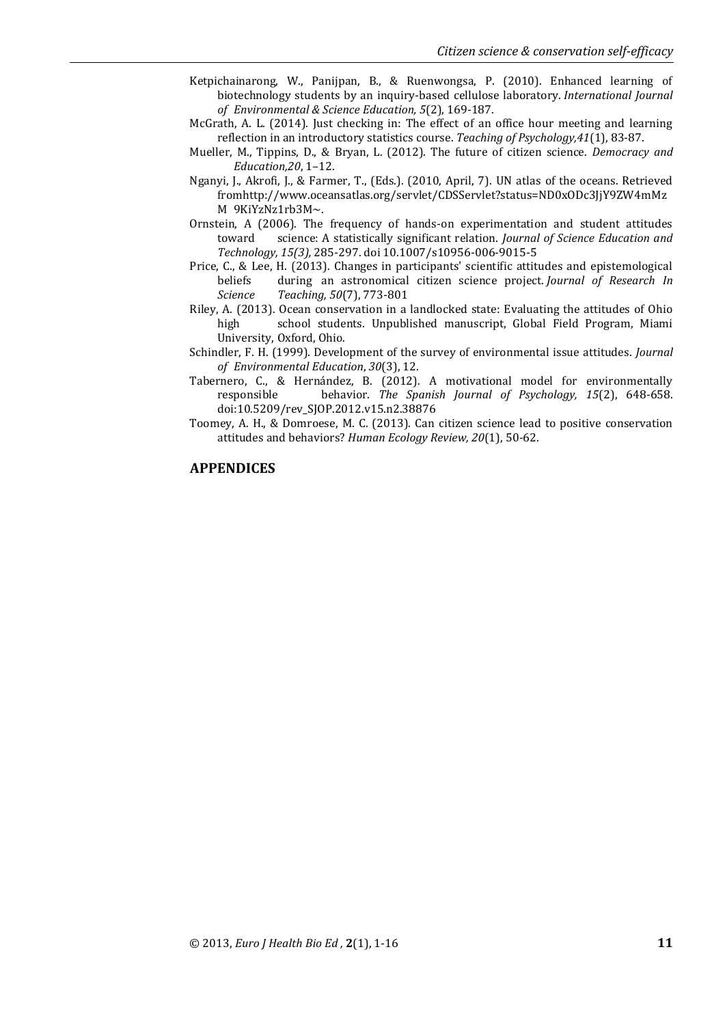- Ketpichainarong, W., Panijpan, B., & Ruenwongsa, P. (2010). Enhanced learning of biotechnology students by an inquiry-based cellulose laboratory. *International Journal of Environmental & Science Education, 5*(2), 169-187.
- McGrath, A. L. (2014). Just checking in: The effect of an office hour meeting and learning reflection in an introductory statistics course. *Teaching of Psychology,41*(1), 83-87.
- Mueller, M., Tippins, D., & Bryan, L. (2012). The future of citizen science. *Democracy and Education,20*, 1–12.
- Nganyi, J., Akrofi, J., & Farmer, T., (Eds.). (2010, April, 7). UN atlas of the oceans. Retrieved fromhttp://www.oceansatlas.org/servlet/CDSServlet?status=ND0xODc3JjY9ZW4mMz M 9KiYzNz1rb3M~.
- Ornstein, A (2006). The frequency of hands-on experimentation and student attitudes toward science: A statistically significant relation. *Journal of Science Education and Technology, 15(3),* 285-297. doi 10.1007/s10956-006-9015-5
- Price, C., & Lee, H. (2013). Changes in participants' scientific attitudes and epistemological beliefs during an astronomical citizen science project. *Journal of Research In Science Teaching, 50*(7), 773-801
- Riley, A. (2013). Ocean conservation in a landlocked state: Evaluating the attitudes of Ohio high school students. Unpublished manuscript, Global Field Program, Miami University, Oxford, Ohio.
- Schindler, F. H. (1999). Development of the survey of environmental issue attitudes. *Journal of Environmental Education*, *30*(3), 12.
- Tabernero, C., & Hernández, B. (2012). A motivational model for environmentally responsible behavior. *The Spanish Journal of Psychology, 15*(2), 648-658. doi:10.5209/rev\_SJOP.2012.v15.n2.38876
- Toomey, A. H., & Domroese, M. C. (2013). Can citizen science lead to positive conservation attitudes and behaviors? *Human Ecology Review, 20*(1), 50-62.

#### **APPENDICES**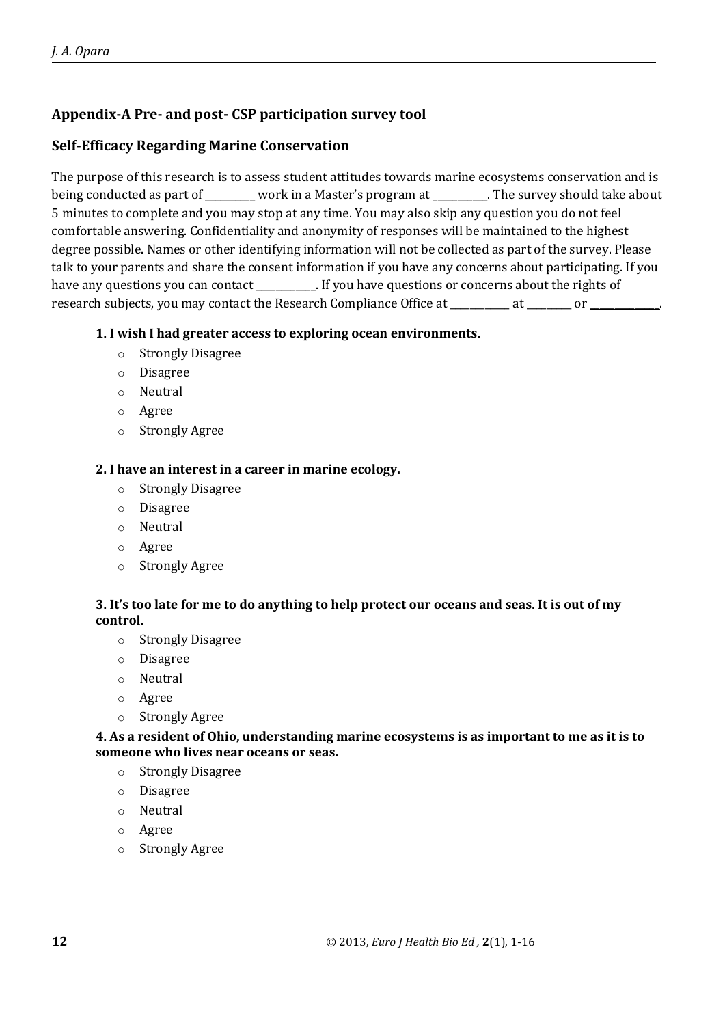# **Appendix-A Pre- and post- CSP participation survey tool**

# **Self-Efficacy Regarding Marine Conservation**

The purpose of this research is to assess student attitudes towards marine ecosystems conservation and is being conducted as part of \_\_\_\_\_\_\_ work in a Master's program at \_\_\_\_\_\_\_\_\_. The survey should take about 5 minutes to complete and you may stop at any time. You may also skip any question you do not feel comfortable answering. Confidentiality and anonymity of responses will be maintained to the highest degree possible. Names or other identifying information will not be collected as part of the survey. Please talk to your parents and share the consent information if you have any concerns about participating. If you have any questions you can contact \_\_\_\_\_\_\_\_\_. If you have questions or concerns about the rights of research subjects, you may contact the Research Compliance Office at  $\qquad \qquad$  at  $\qquad \qquad$  or  $\qquad \qquad$ 

## **1. I wish I had greater access to exploring ocean environments.**

- o Strongly Disagree
- o Disagree
- o Neutral
- o Agree
- o Strongly Agree

## **2. I have an interest in a career in marine ecology.**

- o Strongly Disagree
- o Disagree
- o Neutral
- o Agree
- o Strongly Agree

# **3. It's too late for me to do anything to help protect our oceans and seas. It is out of my control.**

- o Strongly Disagree
- o Disagree
- o Neutral
- o Agree
- o Strongly Agree

**4. As a resident of Ohio, understanding marine ecosystems is as important to me as it is to someone who lives near oceans or seas.**

- o Strongly Disagree
- o Disagree
- o Neutral
- o Agree
- o Strongly Agree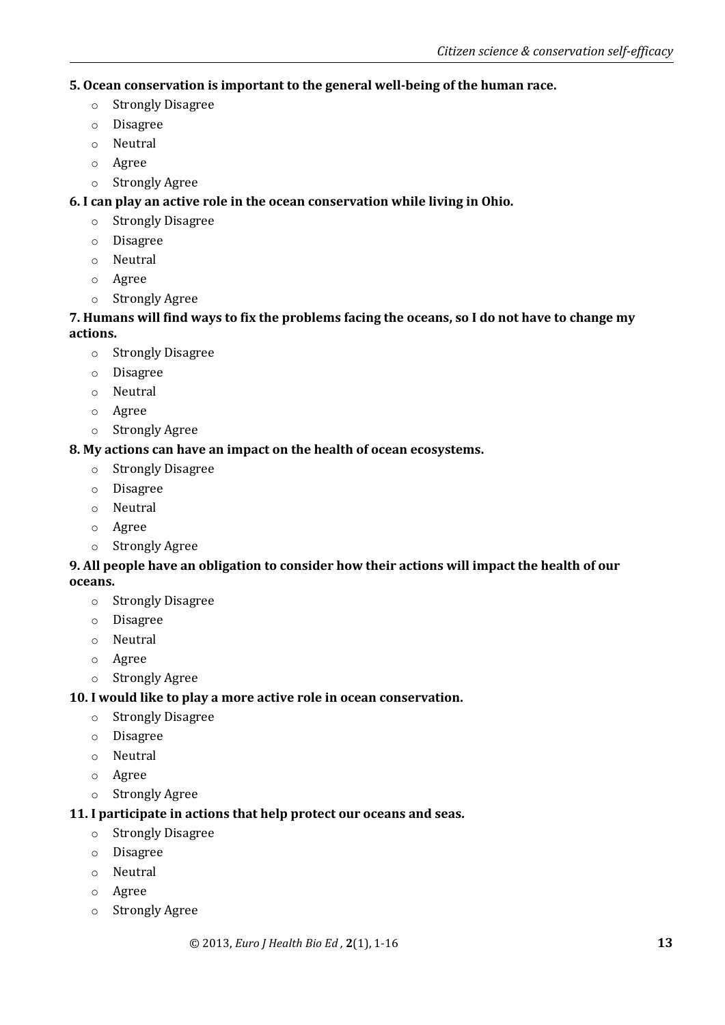# **5. Ocean conservation is important to the general well-being of the human race.**

- o Strongly Disagree
- o Disagree
- o Neutral
- o Agree
- o Strongly Agree

# **6. I can play an active role in the ocean conservation while living in Ohio.**

- o Strongly Disagree
- o Disagree
- o Neutral
- o Agree
- o Strongly Agree

# **7. Humans will find ways to fix the problems facing the oceans, so I do not have to change my actions.**

- o Strongly Disagree
- o Disagree
- o Neutral
- o Agree
- o Strongly Agree

# **8. My actions can have an impact on the health of ocean ecosystems.**

- o Strongly Disagree
- o Disagree
- o Neutral
- o Agree
- o Strongly Agree

# **9. All people have an obligation to consider how their actions will impact the health of our oceans.**

- o Strongly Disagree
- o Disagree
- o Neutral
- o Agree
- o Strongly Agree

# **10. I would like to play a more active role in ocean conservation.**

- o Strongly Disagree
- o Disagree
- o Neutral
- o Agree
- o Strongly Agree

# **11. I participate in actions that help protect our oceans and seas.**

- o Strongly Disagree
- o Disagree
- o Neutral
- o Agree
- o Strongly Agree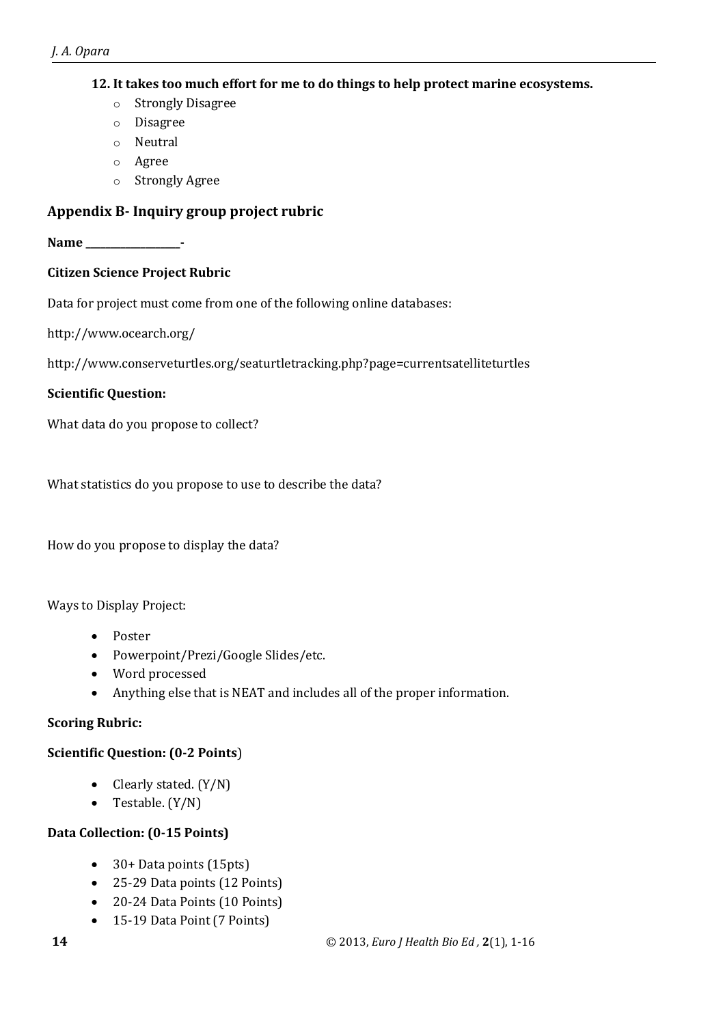# **12. It takes too much effort for me to do things to help protect marine ecosystems.**

- o Strongly Disagree
- o Disagree
- o Neutral
- o Agree
- o Strongly Agree

# **Appendix B- Inquiry group project rubric**

**Name \_\_\_\_\_\_\_\_\_\_\_\_\_\_\_\_\_\_\_-**

# **Citizen Science Project Rubric**

Data for project must come from one of the following online databases:

http://www.ocearch.org/

http://www.conserveturtles.org/seaturtletracking.php?page=currentsatelliteturtles

# **Scientific Question:**

What data do you propose to collect?

What statistics do you propose to use to describe the data?

How do you propose to display the data?

Ways to Display Project:

- Poster
- Powerpoint/Prezi/Google Slides/etc.
- Word processed
- Anything else that is NEAT and includes all of the proper information.

# **Scoring Rubric:**

# **Scientific Question: (0-2 Points**)

- Clearly stated. (Y/N)
- Testable.  $(Y/N)$

# **Data Collection: (0-15 Points)**

- 30+ Data points (15pts)
- 25-29 Data points (12 Points)
- 20-24 Data Points (10 Points)
- 15-19 Data Point (7 Points)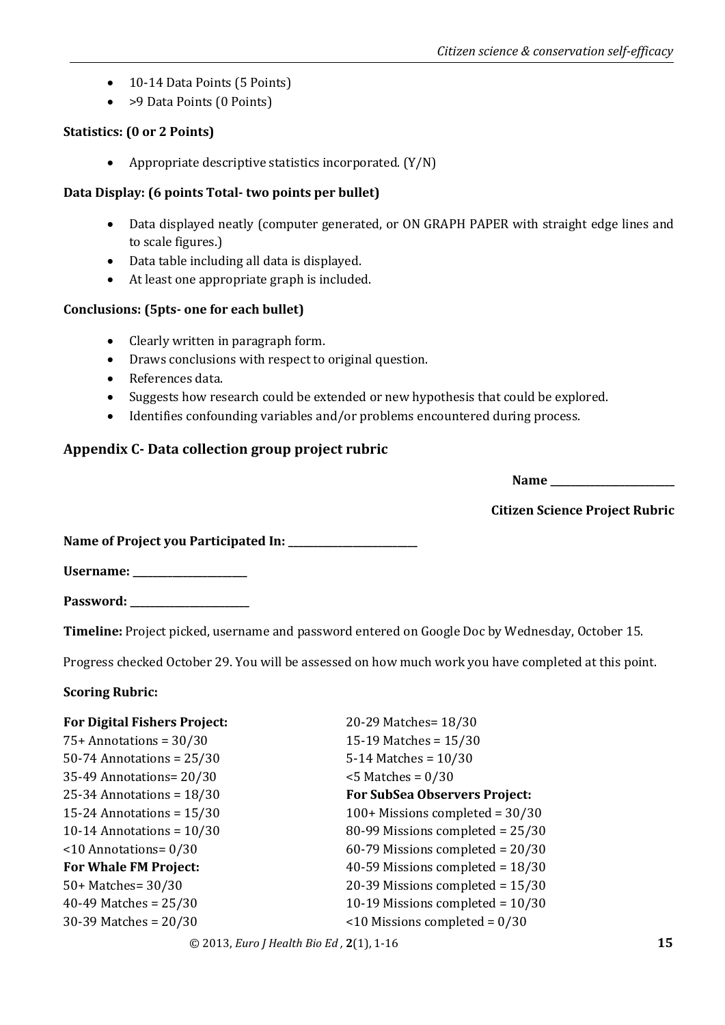- 10-14 Data Points (5 Points)
- > > Data Points (0 Points)

# **Statistics: (0 or 2 Points)**

Appropriate descriptive statistics incorporated. (Y/N)

## **Data Display: (6 points Total- two points per bullet)**

- Data displayed neatly (computer generated, or ON GRAPH PAPER with straight edge lines and to scale figures.)
- Data table including all data is displayed.
- At least one appropriate graph is included.

## **Conclusions: (5pts- one for each bullet)**

- Clearly written in paragraph form.
- Draws conclusions with respect to original question.
- References data.
- Suggests how research could be extended or new hypothesis that could be explored.
- Identifies confounding variables and/or problems encountered during process.

# **Appendix C- Data collection group project rubric**

**Name \_\_\_\_\_\_\_\_\_\_\_\_\_\_\_\_\_\_\_\_\_\_\_\_\_**

**Citizen Science Project Rubric**

**Name of Project you Participated In:** 

**Username: \_\_\_\_\_\_\_\_\_\_\_\_\_\_\_\_\_\_\_\_\_\_\_**

**Password: \_\_\_\_\_\_\_\_\_\_\_\_\_\_\_\_\_\_\_\_\_\_\_\_**

**Timeline:** Project picked, username and password entered on Google Doc by Wednesday, October 15.

Progress checked October 29. You will be assessed on how much work you have completed at this point.

# **Scoring Rubric:**

| <b>For Digital Fishers Project:</b> | 20-29 Matches= 18/30                 |
|-------------------------------------|--------------------------------------|
| $75+$ Annotations = $30/30$         | 15-19 Matches = $15/30$              |
| $50-74$ Annotations = $25/30$       | 5-14 Matches = $10/30$               |
| 35-49 Annotations= 20/30            | $<$ 5 Matches = 0/30                 |
| 25-34 Annotations = $18/30$         | <b>For SubSea Observers Project:</b> |
| 15-24 Annotations = $15/30$         | $100+$ Missions completed = 30/30    |
| 10-14 Annotations = $10/30$         | 80-99 Missions completed = 25/30     |
| $\leq$ 10 Annotations = 0/30        | 60-79 Missions completed = $20/30$   |
| <b>For Whale FM Project:</b>        | 40-59 Missions completed = $18/30$   |
| 50+ Matches= 30/30                  | 20-39 Missions completed = 15/30     |
| 40-49 Matches = $25/30$             | 10-19 Missions completed = $10/30$   |
| 30-39 Matches = $20/30$             | $\leq$ 10 Missions completed = 0/30  |
|                                     |                                      |